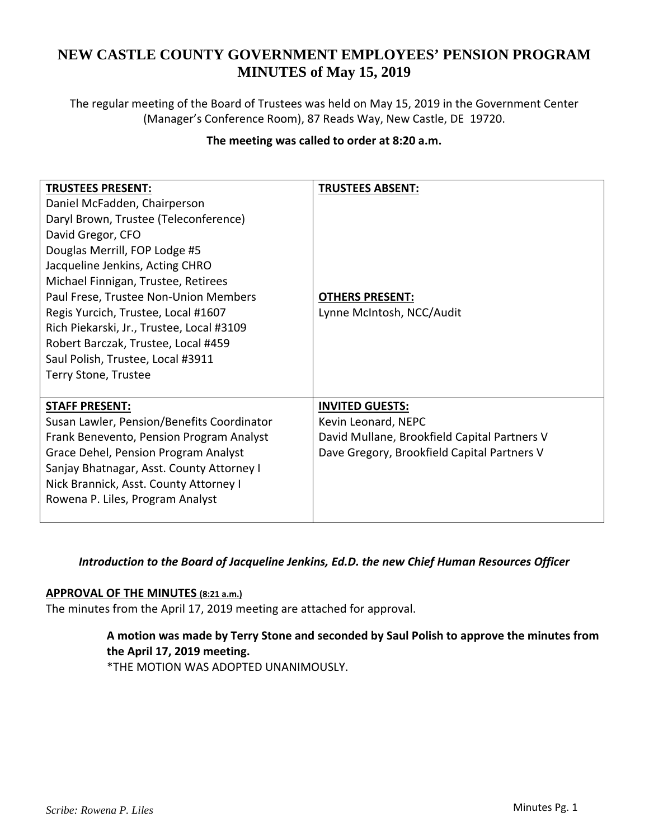# **NEW CASTLE COUNTY GOVERNMENT EMPLOYEES' PENSION PROGRAM MINUTES of May 15, 2019**

The regular meeting of the Board of Trustees was held on May 15, 2019 in the Government Center (Manager's Conference Room), 87 Reads Way, New Castle, DE 19720.

## **The meeting was called to order at 8:20 a.m.**

| <b>TRUSTEES PRESENT:</b>                   | <b>TRUSTEES ABSENT:</b>                      |
|--------------------------------------------|----------------------------------------------|
| Daniel McFadden, Chairperson               |                                              |
| Daryl Brown, Trustee (Teleconference)      |                                              |
| David Gregor, CFO                          |                                              |
| Douglas Merrill, FOP Lodge #5              |                                              |
| Jacqueline Jenkins, Acting CHRO            |                                              |
| Michael Finnigan, Trustee, Retirees        |                                              |
| Paul Frese, Trustee Non-Union Members      | <b>OTHERS PRESENT:</b>                       |
| Regis Yurcich, Trustee, Local #1607        | Lynne McIntosh, NCC/Audit                    |
| Rich Piekarski, Jr., Trustee, Local #3109  |                                              |
| Robert Barczak, Trustee, Local #459        |                                              |
| Saul Polish, Trustee, Local #3911          |                                              |
| Terry Stone, Trustee                       |                                              |
|                                            |                                              |
| <b>STAFF PRESENT:</b>                      | <b>INVITED GUESTS:</b>                       |
| Susan Lawler, Pension/Benefits Coordinator | Kevin Leonard, NEPC                          |
| Frank Benevento, Pension Program Analyst   | David Mullane, Brookfield Capital Partners V |
| Grace Dehel, Pension Program Analyst       | Dave Gregory, Brookfield Capital Partners V  |
| Sanjay Bhatnagar, Asst. County Attorney I  |                                              |
| Nick Brannick, Asst. County Attorney I     |                                              |
| Rowena P. Liles, Program Analyst           |                                              |
|                                            |                                              |

# *Introduction to the Board of Jacqueline Jenkins, Ed.D. the new Chief Human Resources Officer*

### **APPROVAL OF THE MINUTES (8:21 a.m.)**

The minutes from the April 17, 2019 meeting are attached for approval.

# **A motion was made by Terry Stone and seconded by Saul Polish to approve the minutes from the April 17, 2019 meeting.**

\*THE MOTION WAS ADOPTED UNANIMOUSLY.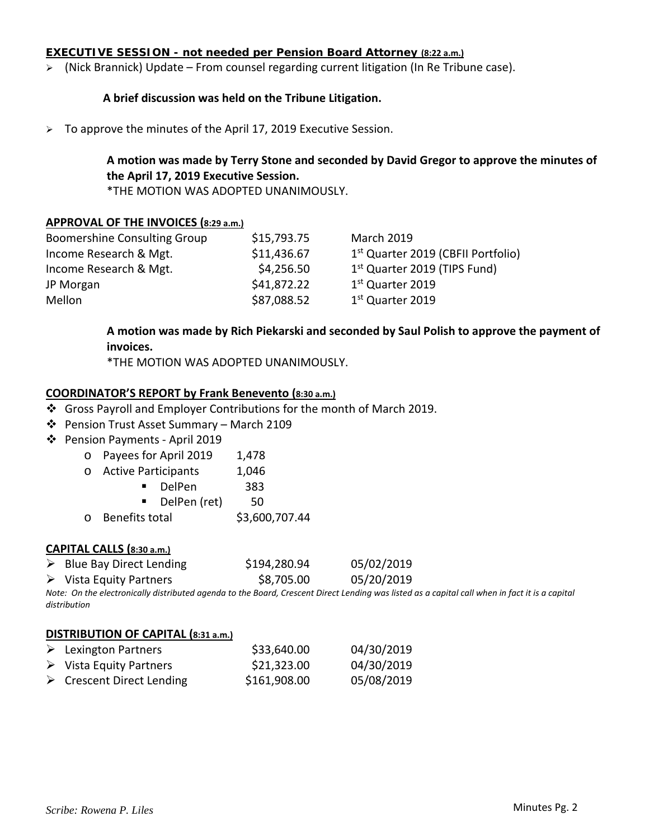#### **EXECUTIVE SESSION - not needed per Pension Board Attorney (8:22 a.m.)**

 $\triangleright$  (Nick Brannick) Update – From counsel regarding current litigation (In Re Tribune case).

#### **A brief discussion was held on the Tribune Litigation.**

 $\geq$  To approve the minutes of the April 17, 2019 Executive Session.

# **A motion was made by Terry Stone and seconded by David Gregor to approve the minutes of the April 17, 2019 Executive Session.**

\*THE MOTION WAS ADOPTED UNANIMOUSLY.

#### **APPROVAL OF THE INVOICES (8:29 a.m.)**

| <b>Boomershine Consulting Group</b> | \$15,793.75 | <b>March 2019</b>                              |
|-------------------------------------|-------------|------------------------------------------------|
| Income Research & Mgt.              | \$11,436.67 | 1 <sup>st</sup> Quarter 2019 (CBFII Portfolio) |
| Income Research & Mgt.              | \$4,256.50  | 1 <sup>st</sup> Quarter 2019 (TIPS Fund)       |
| JP Morgan                           | \$41,872.22 | 1 <sup>st</sup> Quarter 2019                   |
| Mellon                              | \$87,088.52 | 1 <sup>st</sup> Quarter 2019                   |

# **A motion was made by Rich Piekarski and seconded by Saul Polish to approve the payment of invoices.**

\*THE MOTION WAS ADOPTED UNANIMOUSLY.

#### **COORDINATOR'S REPORT by Frank Benevento (8:30 a.m.)**

- Gross Payroll and Employer Contributions for the month of March 2019.
- Pension Trust Asset Summary March 2109
- Pension Payments ‐ April 2019
	- o Payees for April 2019 1,478

| $\circ$ | <b>Active Participants</b> | 1,046 |
|---------|----------------------------|-------|
|---------|----------------------------|-------|

|  | DelPen |  | 383 |
|--|--------|--|-----|
|  |        |  |     |

- DelPen (ret) 50
- $\circ$  Benefits total  $\qquad$ \$3,600,707.44

#### **CAPITAL CALLS (8:30 a.m.)**

- ▶ Blue Bay Direct Lending  $$194,280.94$  05/02/2019
- Vista Equity Partners \$8,705.00 05/20/2019

Note: On the electronically distributed agenda to the Board, Crescent Direct Lending was listed as a capital call when in fact it is a capital *distribution*

#### **DISTRIBUTION OF CAPITAL (8:31 a.m.)**

| $\triangleright$ Lexington Partners      | \$33,640.00  | 04/30/2019 |
|------------------------------------------|--------------|------------|
| $\triangleright$ Vista Equity Partners   | \$21,323.00  | 04/30/2019 |
| $\triangleright$ Crescent Direct Lending | \$161,908.00 | 05/08/2019 |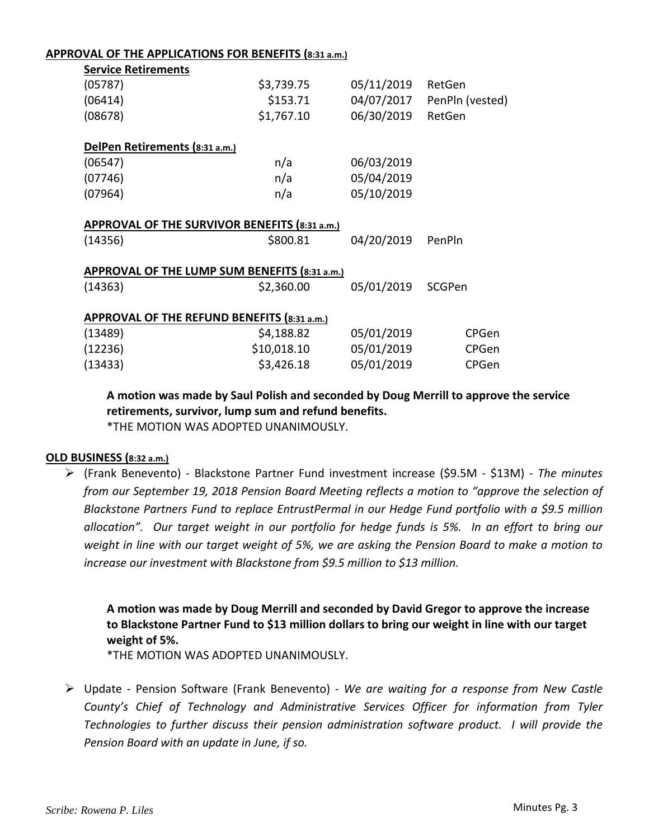#### **APPROVAL OF THE APPLICATIONS FOR BENEFITS (8:31 a.m.)**

| <b>Service Retirements</b>     |                                               |            |                 |
|--------------------------------|-----------------------------------------------|------------|-----------------|
| (05787)                        | \$3,739.75                                    | 05/11/2019 | RetGen          |
| (06414)                        | \$153.71                                      | 04/07/2017 | PenPln (vested) |
| (08678)                        | \$1,767.10                                    | 06/30/2019 | RetGen          |
| DelPen Retirements (8:31 a.m.) |                                               |            |                 |
| (06547)                        | n/a                                           | 06/03/2019 |                 |
| (07746)                        | n/a                                           | 05/04/2019 |                 |
| (07964)                        | n/a                                           | 05/10/2019 |                 |
| (14356)                        | \$800.81                                      | 04/20/2019 | PenPln          |
|                                | APPROVAL OF THE LUMP SUM BENEFITS (8:31 a.m.) |            |                 |
| (14363)                        | \$2,360.00                                    | 05/01/2019 | SCGPen          |
|                                | APPROVAL OF THE REFUND BENEFITS (8:31 a.m.)   |            |                 |
| (13489)                        | \$4,188.82                                    | 05/01/2019 | CPGen           |
| (12236)                        | \$10,018.10                                   | 05/01/2019 | CPGen           |
| (13433)                        | \$3,426.18                                    | 05/01/2019 | CPGen           |
|                                |                                               |            |                 |

**A motion was made by Saul Polish and seconded by Doug Merrill to approve the service retirements, survivor, lump sum and refund benefits.** \*THE MOTION WAS ADOPTED UNANIMOUSLY.

### **OLD BUSINESS (8:32 a.m.)**

 (Frank Benevento) ‐ Blackstone Partner Fund investment increase (\$9.5M ‐ \$13M) ‐ *The minutes from our September 19, 2018 Pension Board Meeting reflects a motion to "approve the selection of Blackstone Partners Fund to replace EntrustPermal in our Hedge Fund portfolio with a \$9.5 million* allocation". Our target weight in our portfolio for hedge funds is 5%. In an effort to bring our weight in line with our target weight of 5%, we are asking the Pension Board to make a motion to *increase our investment with Blackstone from \$9.5 million to \$13 million.*

**A motion was made by Doug Merrill and seconded by David Gregor to approve the increase to Blackstone Partner Fund to \$13 million dollars to bring our weight in line with our target weight of 5%.**

\*THE MOTION WAS ADOPTED UNANIMOUSLY.

 Update ‐ Pension Software (Frank Benevento) ‐ *We are waiting for a response from New Castle County's Chief of Technology and Administrative Services Officer for information from Tyler Technologies to further discuss their pension administration software product. I will provide the Pension Board with an update in June, if so.*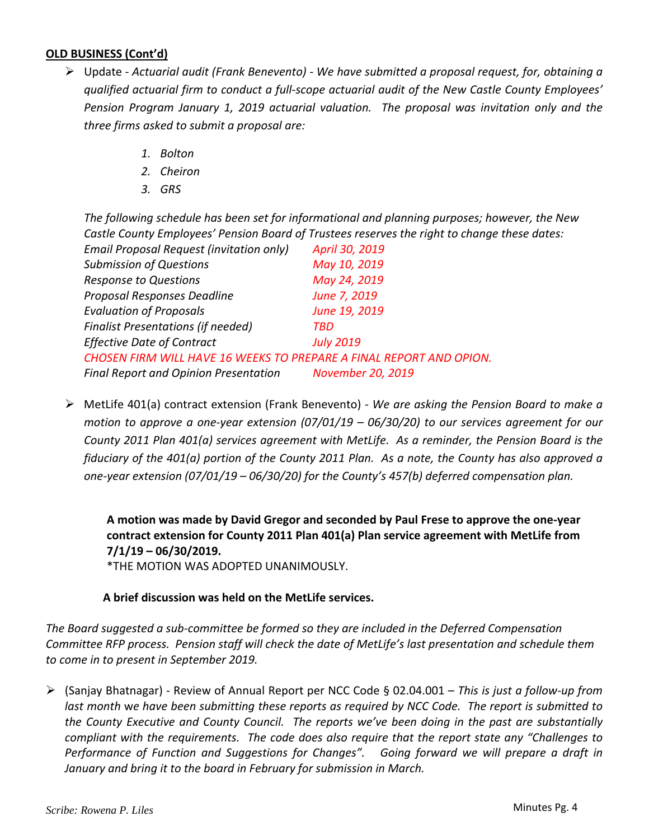# **OLD BUSINESS (Cont'd)**

- Update ‐ *Actuarial audit (Frank Benevento) ‐ We have submitted a proposal request, for, obtaining a qualified actuarial firm to conduct a full‐scope actuarial audit of the New Castle County Employees' Pension Program January 1, 2019 actuarial valuation. The proposal was invitation only and the three firms asked to submit a proposal are:*
	- *1. Bolton*
	- *2. Cheiron*
	- *3. GRS*

*The following schedule has been set for informational and planning purposes; however, the New Castle County Employees' Pension Board of Trustees reserves the right to change these dates:*

| Email Proposal Request (invitation only)                            | April 30, 2019    |
|---------------------------------------------------------------------|-------------------|
| <b>Submission of Questions</b>                                      | May 10, 2019      |
| <b>Response to Questions</b>                                        | May 24, 2019      |
| Proposal Responses Deadline                                         | June 7, 2019      |
| <b>Evaluation of Proposals</b>                                      | June 19, 2019     |
| <b>Finalist Presentations (if needed)</b>                           | TBD               |
| <b>Effective Date of Contract</b>                                   | <b>July 2019</b>  |
| CHOSEN FIRM WILL HAVE 16 WEEKS TO PREPARE A FINAL REPORT AND OPION. |                   |
| <b>Final Report and Opinion Presentation</b>                        | November 20, 2019 |

 MetLife 401(a) contract extension (Frank Benevento) ‐ *We are asking the Pension Board to make a motion to approve a one‐year extension (07/01/19 – 06/30/20) to our services agreement for our County 2011 Plan 401(a) services agreement with MetLife. As a reminder, the Pension Board is the* fiduciary of the 401(a) portion of the County 2011 Plan. As a note, the County has also approved a *one‐year extension (07/01/19 – 06/30/20) for the County's 457(b) deferred compensation plan.*

**A motion was made by David Gregor and seconded by Paul Frese to approve the one‐year contract extension for County 2011 Plan 401(a) Plan service agreement with MetLife from 7/1/19 – 06/30/2019.**

\*THE MOTION WAS ADOPTED UNANIMOUSLY.

### **A brief discussion was held on the MetLife services.**

*The Board suggested a sub‐committee be formed so they are included in the Deferred Compensation* Committee RFP process. Pension staff will check the date of MetLife's last presentation and schedule them *to come in to present in September 2019.*

 (Sanjay Bhatnagar) ‐ Review of Annual Report per NCC Code § 02.04.001 – *This is just a follow‐up from* last month we have been submitting these reports as required by NCC Code. The report is submitted to *the County Executive and County Council. The reports we've been doing in the past are substantially compliant with the requirements. The code does also require that the report state any "Challenges to Performance of Function and Suggestions for Changes". Going forward we will prepare a draft in January and bring it to the board in February for submission in March.*